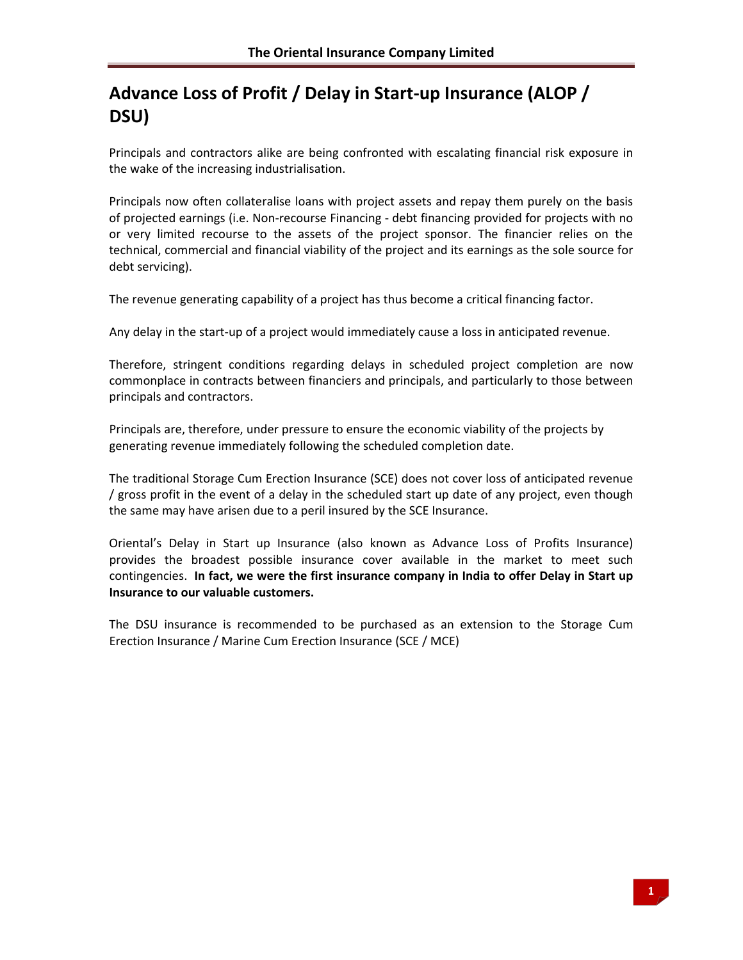# **Advance Loss of Profit / Delay in Start‐up Insurance (ALOP / DSU)**

Principals and contractors alike are being confronted with escalating financial risk exposure in the wake of the increasing industrialisation.

Principals now often collateralise loans with project assets and repay them purely on the basis of projected earnings (i.e. Non‐recourse Financing ‐ debt financing provided for projects with no or very limited recourse to the assets of the project sponsor. The financier relies on the technical, commercial and financial viability of the project and its earnings as the sole source for debt servicing).

The revenue generating capability of a project has thus become a critical financing factor.

Any delay in the start‐up of a project would immediately cause a loss in anticipated revenue.

Therefore, stringent conditions regarding delays in scheduled project completion are now commonplace in contracts between financiers and principals, and particularly to those between principals and contractors.

Principals are, therefore, under pressure to ensure the economic viability of the projects by generating revenue immediately following the scheduled completion date.

The traditional Storage Cum Erection Insurance (SCE) does not cover loss of anticipated revenue / gross profit in the event of a delay in the scheduled start up date of any project, even though the same may have arisen due to a peril insured by the SCE Insurance.

Oriental's Delay in Start up Insurance (also known as Advance Loss of Profits Insurance) provides the broadest possible insurance cover available in the market to meet such contingencies. **In fact, we were the first insurance company in India to offer Delay in Start up Insurance to our valuable customers.**

The DSU insurance is recommended to be purchased as an extension to the Storage Cum Erection Insurance / Marine Cum Erection Insurance (SCE / MCE)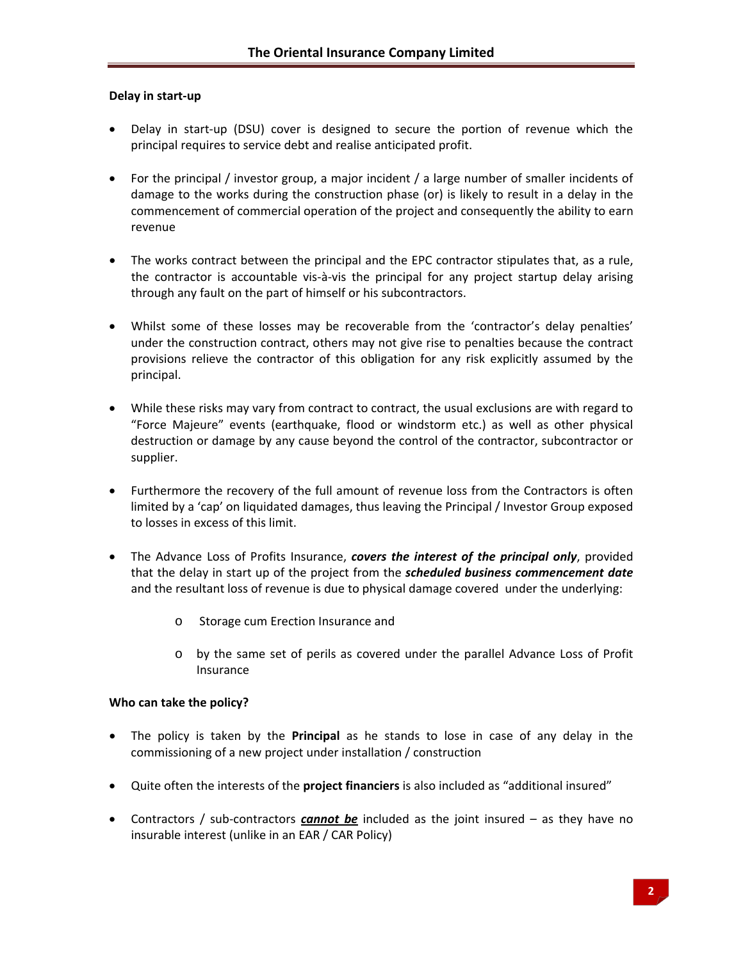# **Delay in start‐up**

- Delay in start-up (DSU) cover is designed to secure the portion of revenue which the principal requires to service debt and realise anticipated profit.
- For the principal / investor group, a major incident / a large number of smaller incidents of damage to the works during the construction phase (or) is likely to result in a delay in the commencement of commercial operation of the project and consequently the ability to earn revenue
- The works contract between the principal and the EPC contractor stipulates that, as a rule, the contractor is accountable vis‐à‐vis the principal for any project startup delay arising through any fault on the part of himself or his subcontractors.
- Whilst some of these losses may be recoverable from the 'contractor's delay penalties' under the construction contract, others may not give rise to penalties because the contract provisions relieve the contractor of this obligation for any risk explicitly assumed by the principal.
- While these risks may vary from contract to contract, the usual exclusions are with regard to "Force Majeure" events (earthquake, flood or windstorm etc.) as well as other physical destruction or damage by any cause beyond the control of the contractor, subcontractor or supplier.
- Furthermore the recovery of the full amount of revenue loss from the Contractors is often limited by a 'cap' on liquidated damages, thus leaving the Principal / Investor Group exposed to losses in excess of this limit.
- The Advance Loss of Profits Insurance, *covers the interest of the principal only*, provided that the delay in start up of the project from the *scheduled business commencement date* and the resultant loss of revenue is due to physical damage covered under the underlying:
	- o Storage cum Erection Insurance and
	- o by the same set of perils as covered under the parallel Advance Loss of Profit Insurance

# **Who can take the policy?**

- The policy is taken by the **Principal** as he stands to lose in case of any delay in the commissioning of a new project under installation / construction
- Quite often the interests of the **project financiers** is also included as "additional insured"
- Contractors / sub‐contractors *cannot be* included as the joint insured as they have no insurable interest (unlike in an EAR / CAR Policy)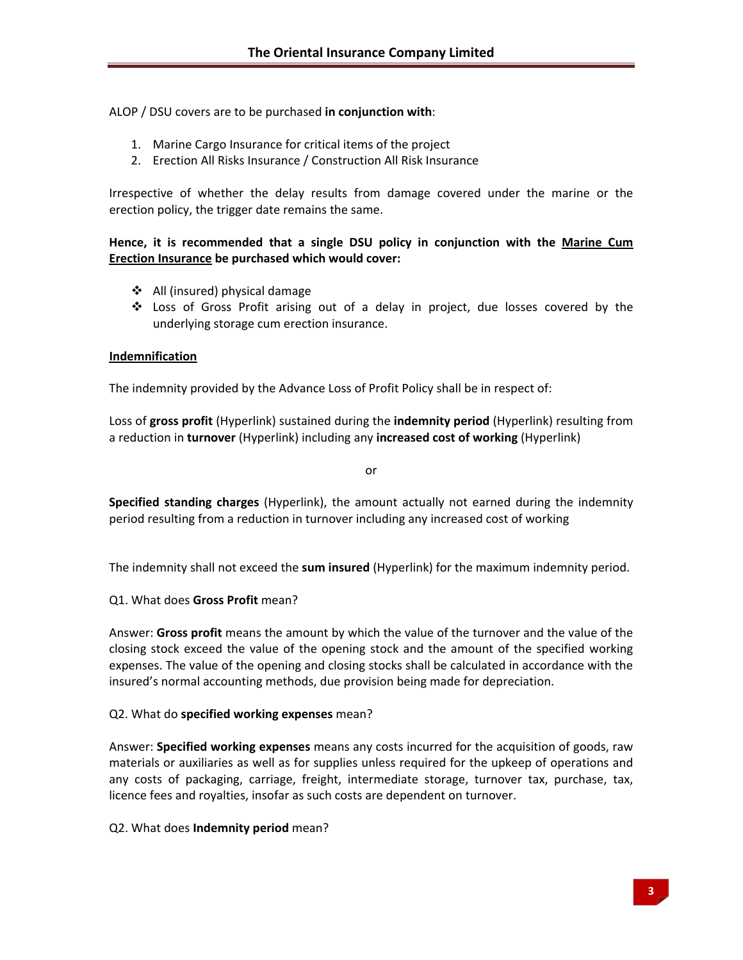ALOP / DSU covers are to be purchased **in conjunction with**:

- 1. Marine Cargo Insurance for critical items of the project
- 2. Erection All Risks Insurance / Construction All Risk Insurance

Irrespective of whether the delay results from damage covered under the marine or the erection policy, the trigger date remains the same.

# **Hence, it is recommended that a single DSU policy in conjunction with the Marine Cum Erection Insurance be purchased which would cover:**

- All (insured) physical damage
- Loss of Gross Profit arising out of a delay in project, due losses covered by the underlying storage cum erection insurance.

# **Indemnification**

The indemnity provided by the Advance Loss of Profit Policy shall be in respect of:

Loss of **gross profit** (Hyperlink) sustained during the **indemnity period** (Hyperlink) resulting from a reduction in **turnover** (Hyperlink) including any **increased cost of working** (Hyperlink)

or

**Specified standing charges** (Hyperlink), the amount actually not earned during the indemnity period resulting from a reduction in turnover including any increased cost of working

The indemnity shall not exceed the **sum insured** (Hyperlink) for the maximum indemnity period.

Q1. What does **Gross Profit** mean?

Answer: **Gross profit** means the amount by which the value of the turnover and the value of the closing stock exceed the value of the opening stock and the amount of the specified working expenses. The value of the opening and closing stocks shall be calculated in accordance with the insured's normal accounting methods, due provision being made for depreciation.

# Q2. What do **specified working expenses** mean?

Answer: **Specified working expenses** means any costs incurred for the acquisition of goods, raw materials or auxiliaries as well as for supplies unless required for the upkeep of operations and any costs of packaging, carriage, freight, intermediate storage, turnover tax, purchase, tax, licence fees and royalties, insofar as such costs are dependent on turnover.

# Q2. What does **Indemnity period** mean?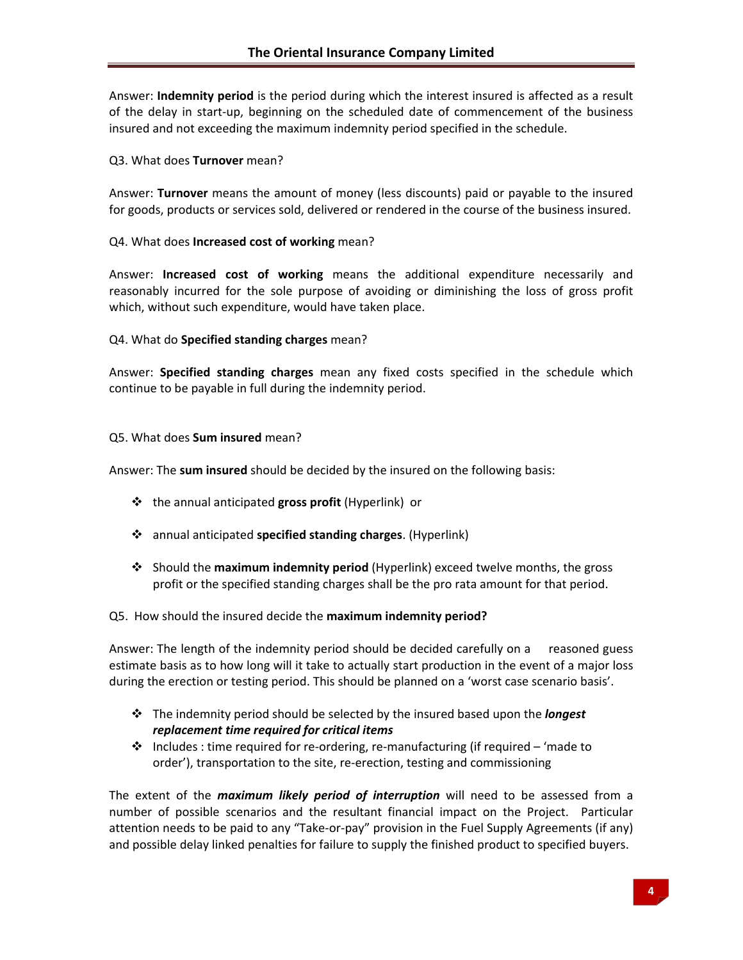Answer: **Indemnity period** is the period during which the interest insured is affected as a result of the delay in start-up, beginning on the scheduled date of commencement of the business insured and not exceeding the maximum indemnity period specified in the schedule.

#### Q3. What does **Turnover** mean?

Answer: **Turnover** means the amount of money (less discounts) paid or payable to the insured for goods, products or services sold, delivered or rendered in the course of the business insured.

#### Q4. What does **Increased cost of working** mean?

Answer: **Increased cost of working** means the additional expenditure necessarily and reasonably incurred for the sole purpose of avoiding or diminishing the loss of gross profit which, without such expenditure, would have taken place.

#### Q4. What do **Specified standing charges** mean?

Answer: **Specified standing charges** mean any fixed costs specified in the schedule which continue to be payable in full during the indemnity period.

#### Q5. What does **Sum insured** mean?

Answer: The **sum insured** should be decided by the insured on the following basis:

- the annual anticipated **gross profit** (Hyperlink) or
- annual anticipated **specified standing charges**. (Hyperlink)
- Should the **maximum indemnity period** (Hyperlink) exceed twelve months, the gross profit or the specified standing charges shall be the pro rata amount for that period.

# Q5. How should the insured decide the **maximum indemnity period?**

Answer: The length of the indemnity period should be decided carefully on a reasoned guess estimate basis as to how long will it take to actually start production in the event of a major loss during the erection or testing period. This should be planned on a 'worst case scenario basis'.

- The indemnity period should be selected by the insured based upon the *longest replacement time required for critical items*
- Includes : time required for re‐ordering, re‐manufacturing (if required 'made to order'), transportation to the site, re‐erection, testing and commissioning

The extent of the *maximum likely period of interruption* will need to be assessed from a number of possible scenarios and the resultant financial impact on the Project. Particular attention needs to be paid to any "Take‐or‐pay" provision in the Fuel Supply Agreements (if any) and possible delay linked penalties for failure to supply the finished product to specified buyers.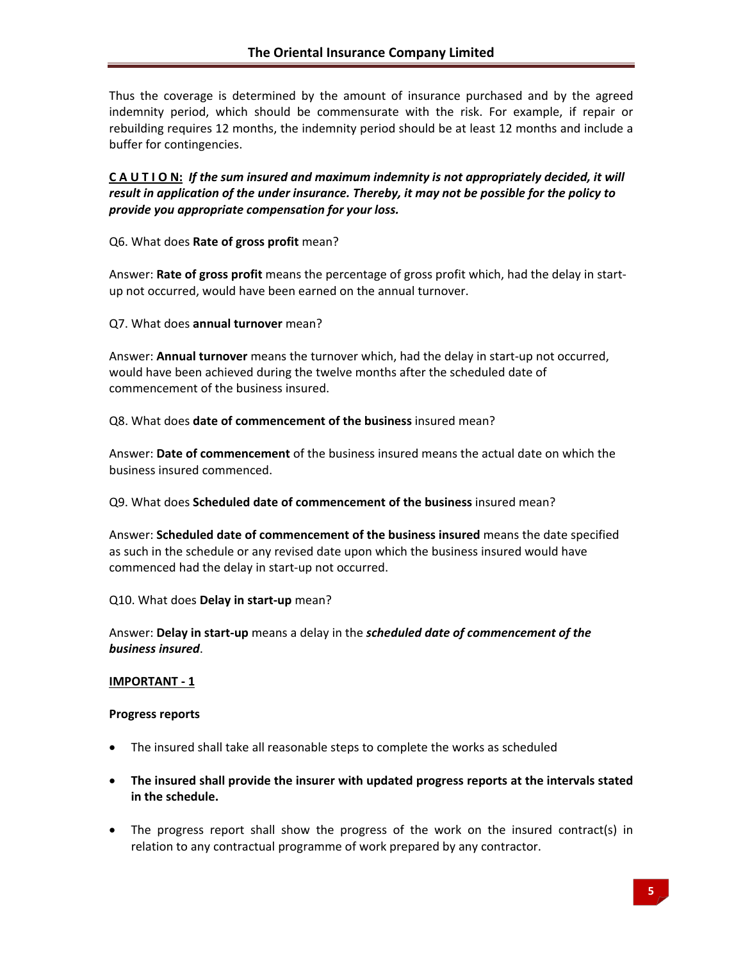Thus the coverage is determined by the amount of insurance purchased and by the agreed indemnity period, which should be commensurate with the risk. For example, if repair or rebuilding requires 12 months, the indemnity period should be at least 12 months and include a buffer for contingencies.

CAUTION: If the sum insured and maximum indemnity is not appropriately decided, it will *result in application of the under insurance. Thereby, it may not be possible for the policy to provide you appropriate compensation for your loss.* 

Q6. What does **Rate of gross profit** mean?

Answer: **Rate of gross profit** means the percentage of gross profit which, had the delay in start‐ up not occurred, would have been earned on the annual turnover.

Q7. What does **annual turnover** mean?

Answer: **Annual turnover** means the turnover which, had the delay in start‐up not occurred, would have been achieved during the twelve months after the scheduled date of commencement of the business insured.

Q8. What does **date of commencement of the business** insured mean?

Answer: **Date of commencement** of the business insured means the actual date on which the business insured commenced.

Q9. What does **Scheduled date of commencement of the business** insured mean?

Answer: **Scheduled date of commencement of the business insured** means the date specified as such in the schedule or any revised date upon which the business insured would have commenced had the delay in start‐up not occurred.

Q10. What does **Delay in start‐up** mean?

Answer: **Delay in start‐up** means a delay in the *scheduled date of commencement of the business insured*.

# **IMPORTANT ‐ 1**

#### **Progress reports**

- The insured shall take all reasonable steps to complete the works as scheduled
- **The insured shall provide the insurer with updated progress reports at the intervals stated in the schedule.**
- The progress report shall show the progress of the work on the insured contract(s) in relation to any contractual programme of work prepared by any contractor.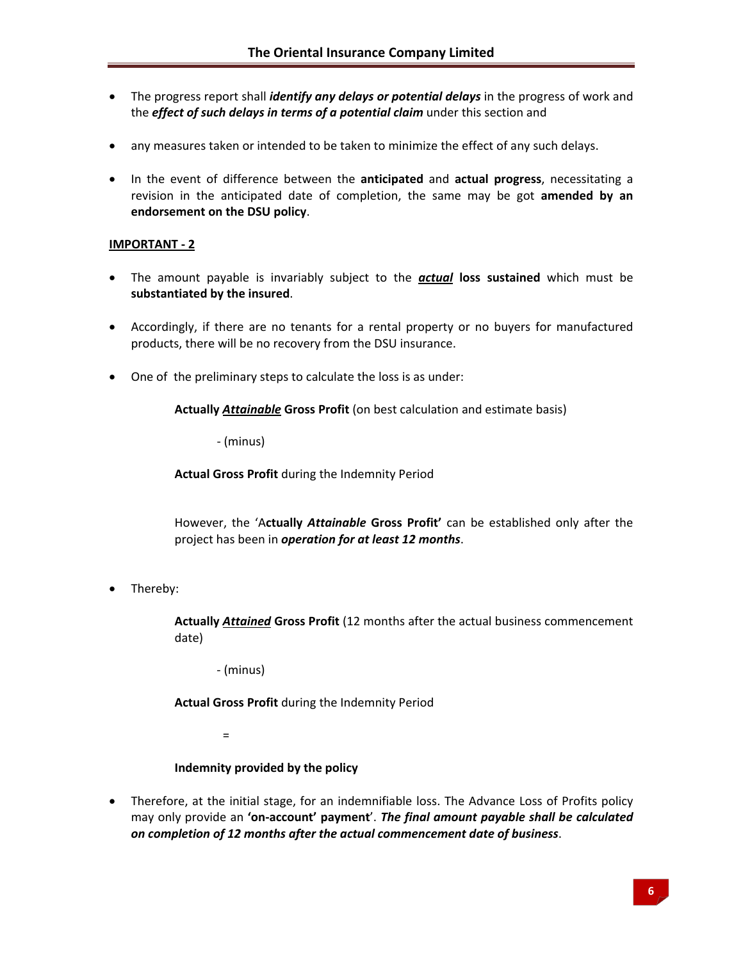- The progress report shall *identify any delays or potential delays* in the progress of work and the *effect of such delays in terms of a potential claim* under this section and
- any measures taken or intended to be taken to minimize the effect of any such delays.
- In the event of difference between the **anticipated** and **actual progress**, necessitating a revision in the anticipated date of completion, the same may be got **amended by an endorsement on the DSU policy**.

# **IMPORTANT ‐ 2**

- The amount payable is invariably subject to the *actual* **loss sustained** which must be **substantiated by the insured**.
- Accordingly, if there are no tenants for a rental property or no buyers for manufactured products, there will be no recovery from the DSU insurance.
- One of the preliminary steps to calculate the loss is as under:

**Actually** *Attainable* **Gross Profit** (on best calculation and estimate basis)

‐ (minus)

**Actual Gross Profit** during the Indemnity Period

However, the 'A**ctually** *Attainable* **Gross Profit'** can be established only after the project has been in *operation for at least 12 months*.

• Thereby:

**Actually** *Attained* **Gross Profit** (12 months after the actual business commencement date)

‐ (minus)

**Actual Gross Profit** during the Indemnity Period

 $\sim$   $\sim$   $=$ 

# **Indemnity provided by the policy**

• Therefore, at the initial stage, for an indemnifiable loss. The Advance Loss of Profits policy may only provide an **'on‐account' payment**'. *The final amount payable shall be calculated on completion of 12 months after the actual commencement date of business*.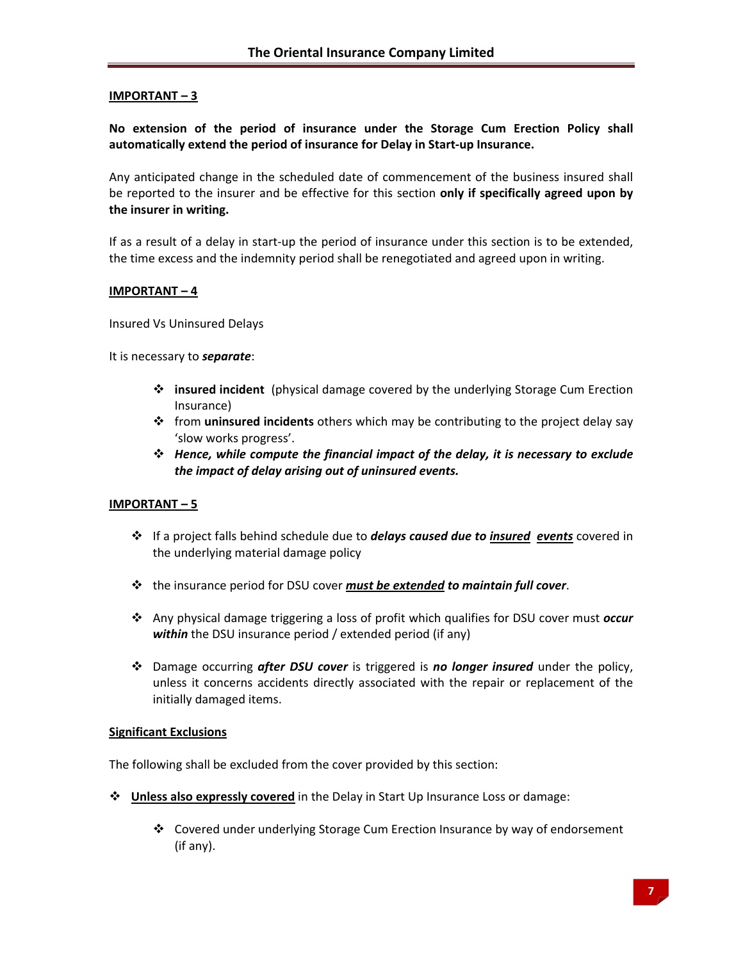# **IMPORTANT – 3**

**No extension of the period of insurance under the Storage Cum Erection Policy shall automatically extend the period of insurance for Delay in Start‐up Insurance.**

Any anticipated change in the scheduled date of commencement of the business insured shall be reported to the insurer and be effective for this section **only if specifically agreed upon by the insurer in writing.**

If as a result of a delay in start‐up the period of insurance under this section is to be extended, the time excess and the indemnity period shall be renegotiated and agreed upon in writing.

#### **IMPORTANT – 4**

Insured Vs Uninsured Delays

It is necessary to *separate*:

- **insured incident** (physical damage covered by the underlying Storage Cum Erection Insurance)
- from **uninsured incidents** others which may be contributing to the project delay say 'slow works progress'.
- *Hence, while compute the financial impact of the delay, it is necessary to exclude the impact of delay arising out of uninsured events.*

# **IMPORTANT – 5**

- If a project falls behind schedule due to *delays caused due to insured events* covered in the underlying material damage policy
- the insurance period for DSU cover *must be extended to maintain full cover*.
- Any physical damage triggering a loss of profit which qualifies for DSU cover must *occur within* the DSU insurance period / extended period (if any)
- Damage occurring *after DSU cover* is triggered is *no longer insured* under the policy, unless it concerns accidents directly associated with the repair or replacement of the initially damaged items.

# **Significant Exclusions**

The following shall be excluded from the cover provided by this section:

- **Unless also expressly covered** in the Delay in Start Up Insurance Loss or damage:
	- Covered under underlying Storage Cum Erection Insurance by way of endorsement (if any).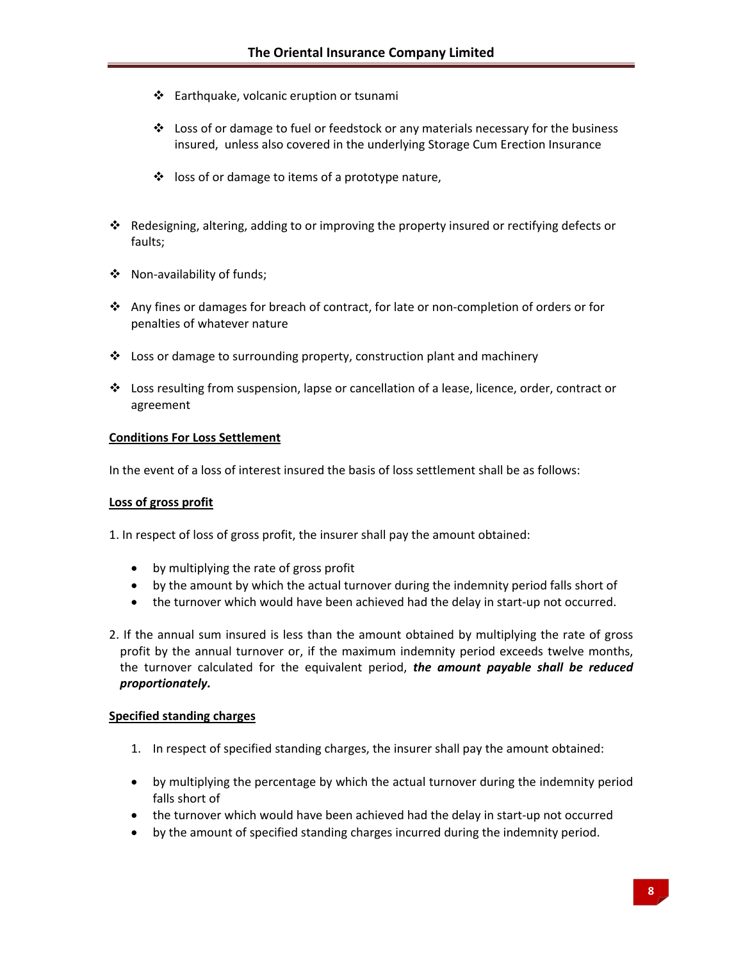- Earthquake, volcanic eruption or tsunami
- $\div$  Loss of or damage to fuel or feedstock or any materials necessary for the business insured, unless also covered in the underlying Storage Cum Erection Insurance
- $\cdot$  loss of or damage to items of a prototype nature,
- Redesigning, altering, adding to or improving the property insured or rectifying defects or faults;
- Non‐availability of funds;
- Any fines or damages for breach of contract, for late or non‐completion of orders or for penalties of whatever nature
- Loss or damage to surrounding property, construction plant and machinery
- Loss resulting from suspension, lapse or cancellation of a lease, licence, order, contract or agreement

# **Conditions For Loss Settlement**

In the event of a loss of interest insured the basis of loss settlement shall be as follows:

# **Loss of gross profit**

1. In respect of loss of gross profit, the insurer shall pay the amount obtained:

- by multiplying the rate of gross profit
- by the amount by which the actual turnover during the indemnity period falls short of
- the turnover which would have been achieved had the delay in start-up not occurred.

2. If the annual sum insured is less than the amount obtained by multiplying the rate of gross profit by the annual turnover or, if the maximum indemnity period exceeds twelve months, the turnover calculated for the equivalent period, *the amount payable shall be reduced proportionately.* 

# **Specified standing charges**

- 1. In respect of specified standing charges, the insurer shall pay the amount obtained:
- by multiplying the percentage by which the actual turnover during the indemnity period falls short of
- the turnover which would have been achieved had the delay in start-up not occurred
- by the amount of specified standing charges incurred during the indemnity period.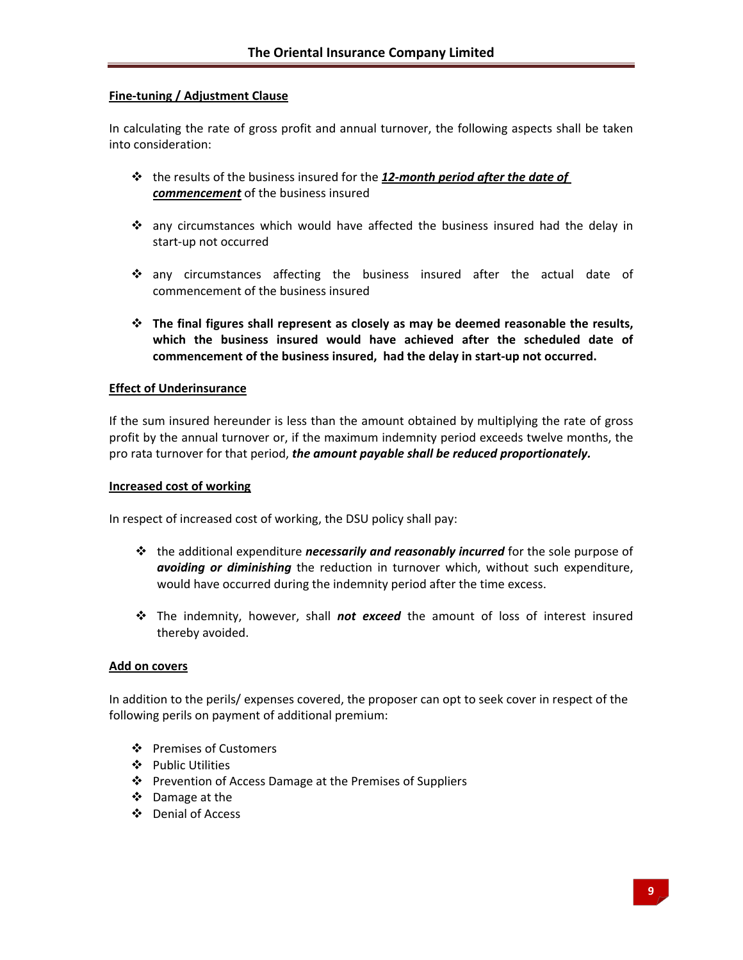# **Fine‐tuning / Adjustment Clause**

In calculating the rate of gross profit and annual turnover, the following aspects shall be taken into consideration:

- the results of the business insured for the *12‐month period after the date of commencement* of the business insured
- any circumstances which would have affected the business insured had the delay in start‐up not occurred
- any circumstances affecting the business insured after the actual date of commencement of the business insured
- **The final figures shall represent as closely as may be deemed reasonable the results, which the business insured would have achieved after the scheduled date of commencement of the business insured, had the delay in start‐up not occurred.**

#### **Effect of Underinsurance**

If the sum insured hereunder is less than the amount obtained by multiplying the rate of gross profit by the annual turnover or, if the maximum indemnity period exceeds twelve months, the pro rata turnover for that period, *the amount payable shall be reduced proportionately.*

#### **Increased cost of working**

In respect of increased cost of working, the DSU policy shall pay:

- the additional expenditure *necessarily and reasonably incurred* for the sole purpose of *avoiding or diminishing* the reduction in turnover which, without such expenditure, would have occurred during the indemnity period after the time excess.
- The indemnity, however, shall *not exceed* the amount of loss of interest insured thereby avoided.

#### **Add on covers**

In addition to the perils/ expenses covered, the proposer can opt to seek cover in respect of the following perils on payment of additional premium:

- Premises of Customers
- Public Utilities
- ❖ Prevention of Access Damage at the Premises of Suppliers
- Damage at the
- Denial of Access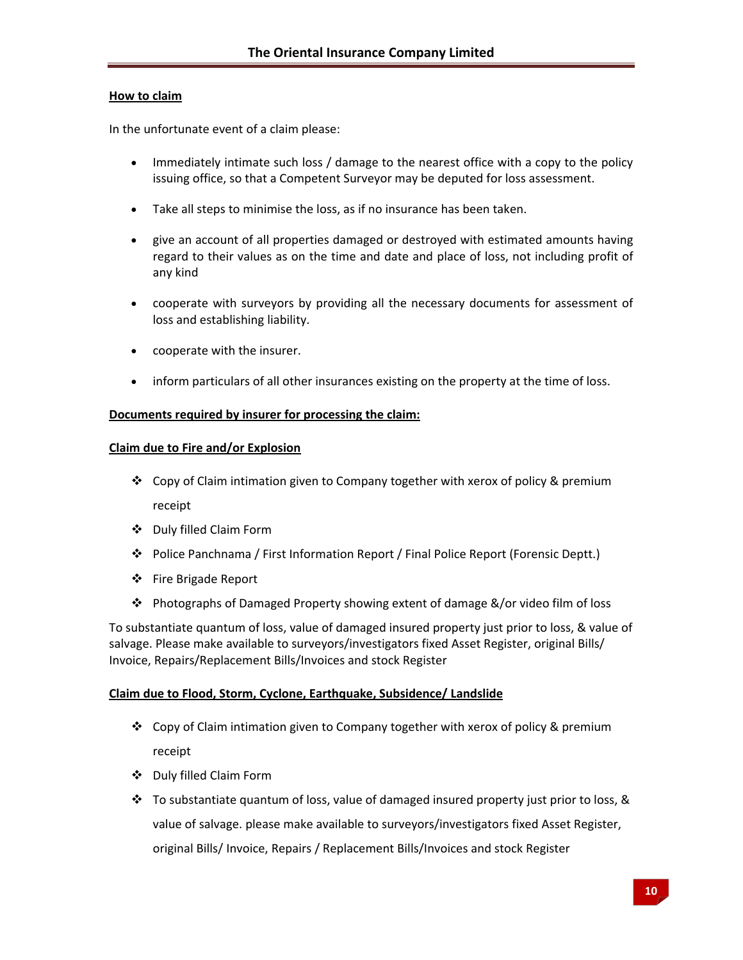#### **How to claim**

In the unfortunate event of a claim please:

- Immediately intimate such loss / damage to the nearest office with a copy to the policy issuing office, so that a Competent Surveyor may be deputed for loss assessment.
- Take all steps to minimise the loss, as if no insurance has been taken.
- give an account of all properties damaged or destroyed with estimated amounts having regard to their values as on the time and date and place of loss, not including profit of any kind
- cooperate with surveyors by providing all the necessary documents for assessment of loss and establishing liability.
- cooperate with the insurer.
- inform particulars of all other insurances existing on the property at the time of loss.

#### **Documents required by insurer for processing the claim:**

#### **Claim due to Fire and/or Explosion**

- Copy of Claim intimation given to Company together with xerox of policy & premium receipt
- Duly filled Claim Form
- Police Panchnama / First Information Report / Final Police Report (Forensic Deptt.)
- Fire Brigade Report
- Photographs of Damaged Property showing extent of damage &/or video film of loss

To substantiate quantum of loss, value of damaged insured property just prior to loss, & value of salvage. Please make available to surveyors/investigators fixed Asset Register, original Bills/ Invoice, Repairs/Replacement Bills/Invoices and stock Register

# **Claim due to Flood, Storm, Cyclone, Earthquake, Subsidence/ Landslide**

- Copy of Claim intimation given to Company together with xerox of policy & premium receipt
- Duly filled Claim Form
- $\cdot \cdot$  To substantiate quantum of loss, value of damaged insured property just prior to loss, & value of salvage. please make available to surveyors/investigators fixed Asset Register, original Bills/ Invoice, Repairs / Replacement Bills/Invoices and stock Register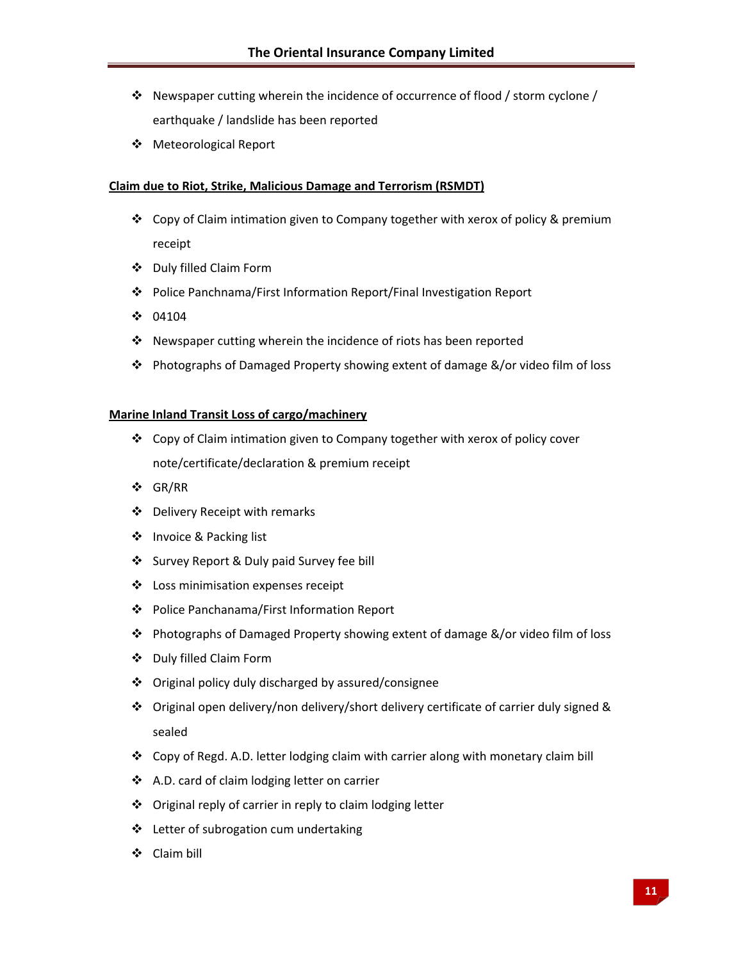- Newspaper cutting wherein the incidence of occurrence of flood / storm cyclone / earthquake / landslide has been reported
- Meteorological Report

# **Claim due to Riot, Strike, Malicious Damage and Terrorism (RSMDT)**

- Copy of Claim intimation given to Company together with xerox of policy & premium receipt
- Duly filled Claim Form
- Police Panchnama/First Information Report/Final Investigation Report
- $\div 04104$
- ❖ Newspaper cutting wherein the incidence of riots has been reported
- Photographs of Damaged Property showing extent of damage &/or video film of loss

#### **Marine Inland Transit Loss of cargo/machinery**

- Copy of Claim intimation given to Company together with xerox of policy cover note/certificate/declaration & premium receipt
- GR/RR
- Delivery Receipt with remarks
- ❖ Invoice & Packing list
- Survey Report & Duly paid Survey fee bill
- Loss minimisation expenses receipt
- Police Panchanama/First Information Report
- Photographs of Damaged Property showing extent of damage &/or video film of loss
- Duly filled Claim Form
- Original policy duly discharged by assured/consignee
- Original open delivery/non delivery/short delivery certificate of carrier duly signed & sealed
- Copy of Regd. A.D. letter lodging claim with carrier along with monetary claim bill
- ❖ A.D. card of claim lodging letter on carrier
- ❖ Original reply of carrier in reply to claim lodging letter
- ❖ Letter of subrogation cum undertaking
- Claim bill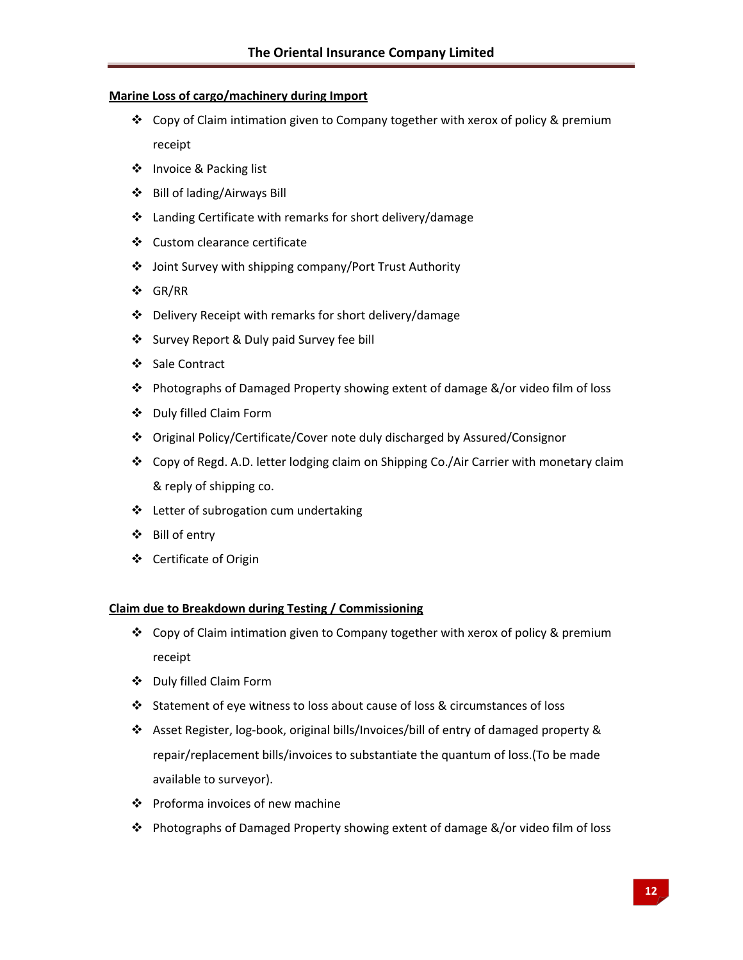# **Marine Loss of cargo/machinery during Import**

- Copy of Claim intimation given to Company together with xerox of policy & premium receipt
- ❖ Invoice & Packing list
- Bill of lading/Airways Bill
- $\cdot$  Landing Certificate with remarks for short delivery/damage
- Custom clearance certificate
- Joint Survey with shipping company/Port Trust Authority
- GR/RR
- Delivery Receipt with remarks for short delivery/damage
- Survey Report & Duly paid Survey fee bill
- Sale Contract
- Photographs of Damaged Property showing extent of damage &/or video film of loss
- Duly filled Claim Form
- Original Policy/Certificate/Cover note duly discharged by Assured/Consignor
- Copy of Regd. A.D. letter lodging claim on Shipping Co./Air Carrier with monetary claim & reply of shipping co.
- ❖ Letter of subrogation cum undertaking
- Bill of entry
- Certificate of Origin

#### **Claim due to Breakdown during Testing / Commissioning**

- Copy of Claim intimation given to Company together with xerox of policy & premium receipt
- Duly filled Claim Form
- Statement of eye witness to loss about cause of loss & circumstances of loss
- Asset Register, log‐book, original bills/Invoices/bill of entry of damaged property & repair/replacement bills/invoices to substantiate the quantum of loss.(To be made available to surveyor).
- ❖ Proforma invoices of new machine
- Photographs of Damaged Property showing extent of damage &/or video film of loss